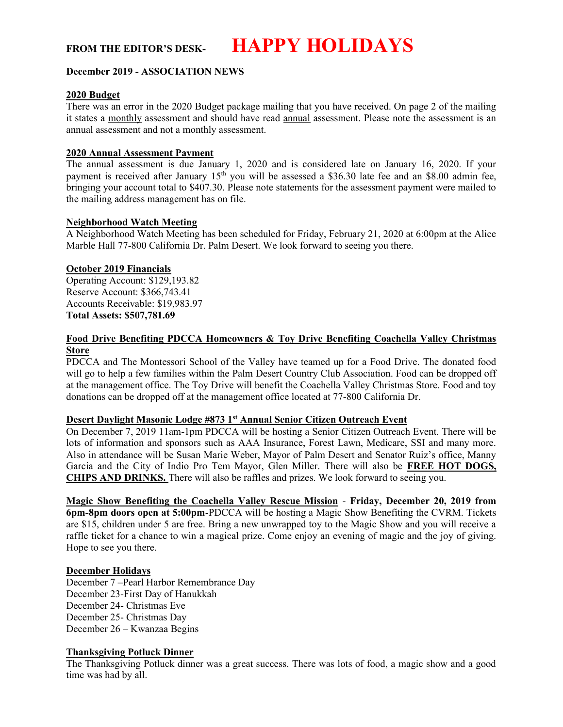FROM THE EDITOR'S DESK- **HAPPY HOLIDAYS** 

### December 2019 - ASSOCIATION NEWS

#### 2020 Budget

There was an error in the 2020 Budget package mailing that you have received. On page 2 of the mailing it states a monthly assessment and should have read annual assessment. Please note the assessment is an annual assessment and not a monthly assessment.

### 2020 Annual Assessment Payment

The annual assessment is due January 1, 2020 and is considered late on January 16, 2020. If your payment is received after January  $15<sup>th</sup>$  you will be assessed a \$36.30 late fee and an \$8.00 admin fee, bringing your account total to \$407.30. Please note statements for the assessment payment were mailed to the mailing address management has on file.

#### Neighborhood Watch Meeting

A Neighborhood Watch Meeting has been scheduled for Friday, February 21, 2020 at 6:00pm at the Alice Marble Hall 77-800 California Dr. Palm Desert. We look forward to seeing you there.

### October 2019 Financials

Operating Account: \$129,193.82 Reserve Account: \$366,743.41 Accounts Receivable: \$19,983.97 Total Assets: \$507,781.69

### Food Drive Benefiting PDCCA Homeowners & Toy Drive Benefiting Coachella Valley Christmas **Store**

PDCCA and The Montessori School of the Valley have teamed up for a Food Drive. The donated food will go to help a few families within the Palm Desert Country Club Association. Food can be dropped off at the management office. The Toy Drive will benefit the Coachella Valley Christmas Store. Food and toy donations can be dropped off at the management office located at 77-800 California Dr.

## Desert Daylight Masonic Lodge #873 1st Annual Senior Citizen Outreach Event

On December 7, 2019 11am-1pm PDCCA will be hosting a Senior Citizen Outreach Event. There will be lots of information and sponsors such as AAA Insurance, Forest Lawn, Medicare, SSI and many more. Also in attendance will be Susan Marie Weber, Mayor of Palm Desert and Senator Ruiz's office, Manny Garcia and the City of Indio Pro Tem Mayor, Glen Miller. There will also be FREE HOT DOGS, CHIPS AND DRINKS. There will also be raffles and prizes. We look forward to seeing you.

Magic Show Benefiting the Coachella Valley Rescue Mission - Friday, December 20, 2019 from 6pm-8pm doors open at 5:00pm-PDCCA will be hosting a Magic Show Benefiting the CVRM. Tickets are \$15, children under 5 are free. Bring a new unwrapped toy to the Magic Show and you will receive a raffle ticket for a chance to win a magical prize. Come enjoy an evening of magic and the joy of giving. Hope to see you there.

#### December Holidays

December 7 –Pearl Harbor Remembrance Day December 23-First Day of Hanukkah December 24- Christmas Eve December 25- Christmas Day December 26 – Kwanzaa Begins

# Thanksgiving Potluck Dinner

The Thanksgiving Potluck dinner was a great success. There was lots of food, a magic show and a good time was had by all.